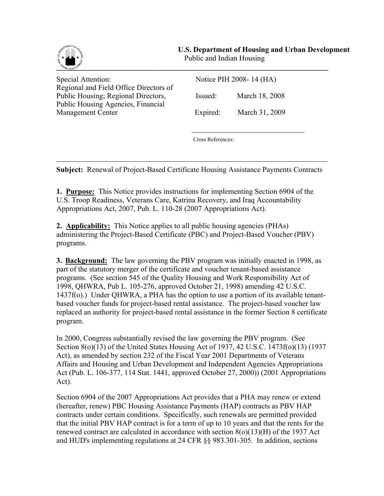

֦

Special Attention: Regional and Field Office Directors of Public Housing; Regional Directors, Issued: March 18, 2008 Public Housing Agencies, Financial Management Center Expired: March 31, 2009

| Notice PIH 2008-14 (HA) |  |  |  |
|-------------------------|--|--|--|
|                         |  |  |  |

Cross References:

**Subject:** Renewal of Project-Based Certificate Housing Assistance Payments Contracts

**1. Purpose:** This Notice provides instructions for implementing Section 6904 of the U.S. Troop Readiness, Veterans Care, Katrina Recovery, and Iraq Accountability Appropriations Act, 2007, Pub. L. 110-28 (2007 Appropriations Act).

**2. Applicability:** This Notice applies to all public housing agencies (PHAs) administering the Project-Based Certificate (PBC) and Project-Based Voucher (PBV) programs.

**3. Background:** The law governing the PBV program was initially enacted in 1998, as part of the statutory merger of the certificate and voucher tenant-based assistance programs. (See section 545 of the Quality Housing and Work Responsibility Act of 1998, QHWRA, Pub L. 105-276, approved October 21, 1998) amending 42 U.S.C. 1437f(o).) Under QHWRA, a PHA has the option to use a portion of its available tenantbased voucher funds for project-based rental assistance. The project-based voucher law replaced an authority for project-based rental assistance in the former Section 8 certificate program.

In 2000, Congress substantially revised the law governing the PBV program. (See Section 8(o)(13) of the United States Housing Act of 1937, 42 U.S.C. 1473f(o)(13) (1937 Act), as amended by section 232 of the Fiscal Year 2001 Departments of Veterans Affairs and Housing and Urban Development and Independent Agencies Appropriations Act (Pub. L. 106-377, 114 Stat. 1441, approved October 27, 2000)) (2001 Appropriations Act).

Section 6904 of the 2007 Appropriations Act provides that a PHA may renew or extend (hereafter, renew) PBC Housing Assistance Payments (HAP) contracts as PBV HAP contracts under certain conditions. Specifically, such renewals are permitted provided that the initial PBV HAP contract is for a term of up to 10 years and that the rents for the renewed contract are calculated in accordance with section 8(o)(13)(H) of the 1937 Act and HUD's implementing regulations at 24 CFR §§ 983.301-305. In addition, sections